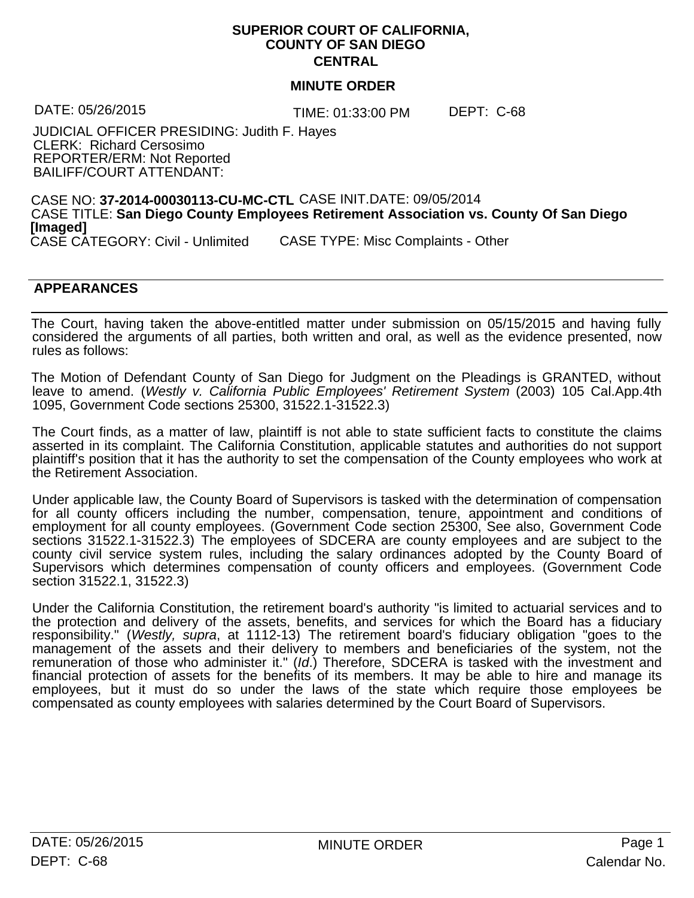## **SUPERIOR COURT OF CALIFORNIA, COUNTY OF SAN DIEGO CENTRAL**

## **MINUTE ORDER**

TIME: 01:33:00 PM DATE: 05/26/2015 DEPT: C-68

JUDICIAL OFFICER PRESIDING: Judith F. Hayes CLERK: Richard Cersosimo REPORTER/ERM: Not Reported BAILIFF/COURT ATTENDANT:

CASE NO: **37-2014-00030113-CU-MC-CTL** CASE INIT.DATE: 09/05/2014 CASE TITLE: **San Diego County Employees Retirement Association vs. County Of San Diego [Imaged]** CASE CATEGORY: Civil - Unlimited CASE TYPE: Misc Complaints - Other

## **APPEARANCES** STOLOURS AND STOLOURS ARE STOLEN ASSESSED.

The Court, having taken the above-entitled matter under submission on 05/15/2015 and having fully considered the arguments of all parties, both written and oral, as well as the evidence presented, now rules as follows:

The Motion of Defendant County of San Diego for Judgment on the Pleadings is GRANTED, without leave to amend. (*Westly v. California Public Employees' Retirement System* (2003) 105 Cal.App.4th 1095, Government Code sections 25300, 31522.1-31522.3)

The Court finds, as a matter of law, plaintiff is not able to state sufficient facts to constitute the claims asserted in its complaint. The California Constitution, applicable statutes and authorities do not support plaintiff's position that it has the authority to setthe compensation of the County employees who work at the Retirement Association.

Under applicable law, the County Board of Supervisors is tasked with the determination of compensation for all county officers including the number, compensation, tenure, appointment and conditions of employment for all county employees. (Government Code section 25300, See also, Government Code sections 31522.1-31522.3) The employees of SDCERA are county employees and are subject to the county civil service system rules, including the salary ordinances adopted by the County Board of Supervisors which determines compensation of county officers and employees. (Government Code section 31522.1, 31522.3)

Under the California Constitution, the retirement board's authority "is limited to actuarial services and to the protection and delivery of the assets, benefits, and services for which the Board has a fiduciary responsibility." (*Westly, supra*, at 1112-13) The retirement board's fiduciary obligation "goes to the management of the assets and their delivery to members and beneficiaries of the system, not the remuneration of those who administer it." (*Id*.) Therefore, SDCERA is tasked with the investment and financial protection of assets for the benefits of its members. It may be able to hire and manage its employees, but it must do so under the laws of the state which require those employees be compensated as county employees with salaries determined by the Court Board of Supervisors.